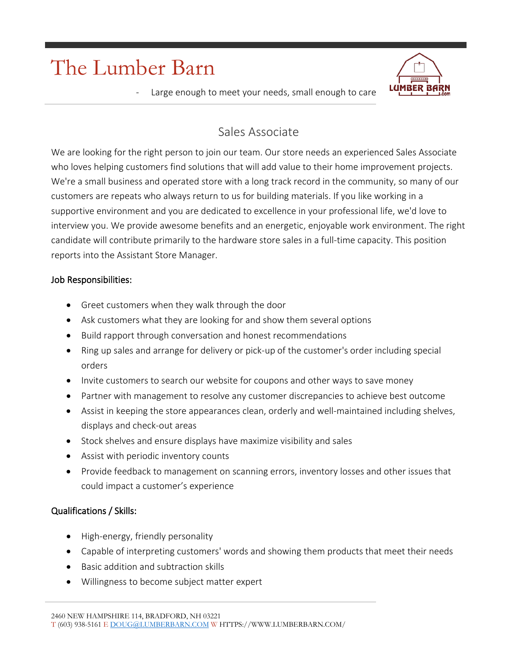# The Lumber Barn



Large enough to meet your needs, small enough to care

## Sales Associate

We are looking for the right person to join our team. Our store needs an experienced Sales Associate who loves helping customers find solutions that will add value to their home improvement projects. We're a small business and operated store with a long track record in the community, so many of our customers are repeats who always return to us for building materials. If you like working in a supportive environment and you are dedicated to excellence in your professional life, we'd love to interview you. We provide awesome benefits and an energetic, enjoyable work environment. The right candidate will contribute primarily to the hardware store sales in a full-time capacity. This position reports into the Assistant Store Manager.

#### Job Responsibilities:

- Greet customers when they walk through the door
- Ask customers what they are looking for and show them several options
- Build rapport through conversation and honest recommendations
- Ring up sales and arrange for delivery or pick-up of the customer's order including special orders
- Invite customers to search our website for coupons and other ways to save money
- Partner with management to resolve any customer discrepancies to achieve best outcome
- Assist in keeping the store appearances clean, orderly and well-maintained including shelves, displays and check-out areas
- Stock shelves and ensure displays have maximize visibility and sales
- Assist with periodic inventory counts
- Provide feedback to management on scanning errors, inventory losses and other issues that could impact a customer's experience

### Qualifications / Skills:

- High-energy, friendly personality
- Capable of interpreting customers' words and showing them products that meet their needs
- Basic addition and subtraction skills
- Willingness to become subject matter expert